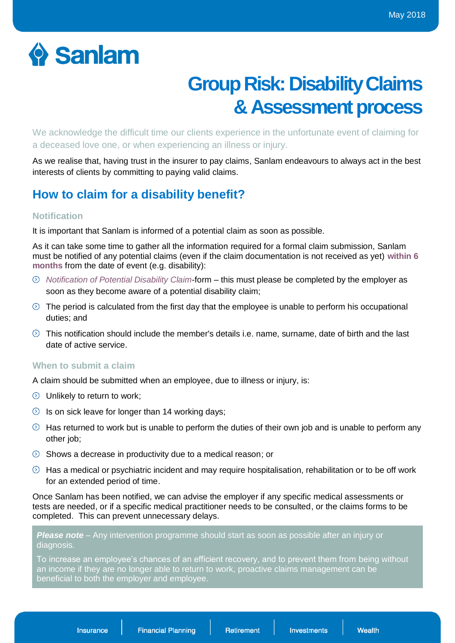# Sanlam

# **Group Risk: Disability Claims & Assessment process**

We acknowledge the difficult time our clients experience in the unfortunate event of claiming for a deceased love one, or when experiencing an illness or injury.

As we realise that, having trust in the insurer to pay claims, Sanlam endeavours to always act in the best interests of clients by committing to paying valid claims.

# **How to claim for a disability benefit?**

# **Notification**

It is important that Sanlam is informed of a potential claim as soon as possible.

As it can take some time to gather all the information required for a formal claim submission, Sanlam must be notified of any potential claims (even if the claim documentation is not received as yet) **within 6 months** from the date of event (e.g. disability):

- *Notification of Potential Disability Claim*-form this must please be completed by the employer as soon as they become aware of a potential disability claim;
- $\odot$  The period is calculated from the first day that the employee is unable to perform his occupational duties; and
- $\odot$  This notification should include the member's details i.e. name, surname, date of birth and the last date of active service.

# **When to submit a claim**

A claim should be submitted when an employee, due to illness or injury, is:

- $\odot$  Unlikely to return to work;
- $\circled{1}$  Is on sick leave for longer than 14 working days;
- $\odot$  Has returned to work but is unable to perform the duties of their own job and is unable to perform any other job;
- $\circledcirc$  Shows a decrease in productivity due to a medical reason; or
- $\odot$  Has a medical or psychiatric incident and may require hospitalisation, rehabilitation or to be off work for an extended period of time.

Once Sanlam has been notified, we can advise the employer if any specific medical assessments or tests are needed, or if a specific medical practitioner needs to be consulted, or the claims forms to be completed. This can prevent unnecessary delays.

**Please note** – Any intervention programme should start as soon as possible after an injury or diagnosis.

To increase an employee's chances of an efficient recovery, and to prevent them from being without an income if they are no longer able to return to work, proactive claims management can be beneficial to both the employer and employee.

Insurance

**Financial Planning** 

**Retirement** 

**Investments**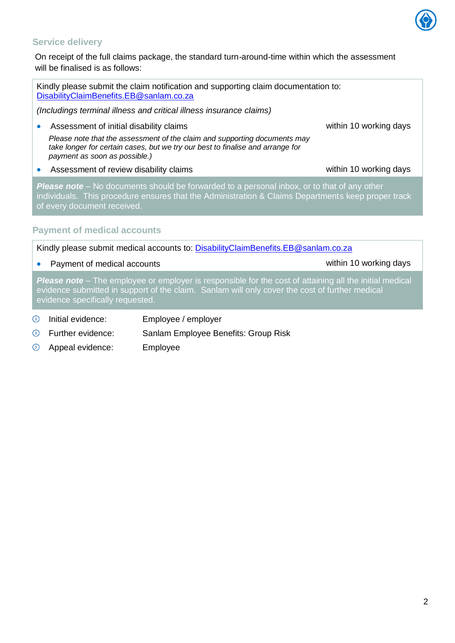

## **Service delivery**

On receipt of the full claims package, the standard turn-around-time within which the assessment will be finalised is as follows:

Kindly please submit the claim notification and supporting claim documentation to: [DisabilityClaimBenefits.EB@sanlam.co.za](mailto:DisabilityClaimBenefits.EB@sanlam.co.za) *(Includings terminal illness and critical illness insurance claims)* Assessment of initial disability claims [within](mailto:SGRNewTenders@sanlam.co.za) 10 working days *Please note that the assessment of the claim and supporting documents may take longer for certain cases, but we try our best to finalise and arrange for payment as soon as possible.)* Assessment of review disability claims within 10 working days *Please note –* No documents should be forwarded to a personal inbox, or to that of any other individuals. This procedure ensures that the Administration & Claims Departments keep proper track of every document received.

# **Payment of medical accounts**

Kindly please submit medical accounts to: [DisabilityClaimBenefits.EB@sanlam.co.za](mailto:DisabilityClaimBenefits.EB@sanlam.co.za)

• Payment of medical accounts and the state [within](mailto:SGRNewTenders@sanlam.co.za) 10 working days

*Please note –* The employee or employer is responsible for the cost of attaining all the initial medical evidence submitted in support of the claim. Sanlam will only cover the cost of further medical evidence specifically requested.

- $\circledcirc$ Initial evidence: Employee / employer
- $\odot$ Further evidence: Sanlam Employee Benefits: Group Risk
- $\circledcirc$ Appeal evidence: Employee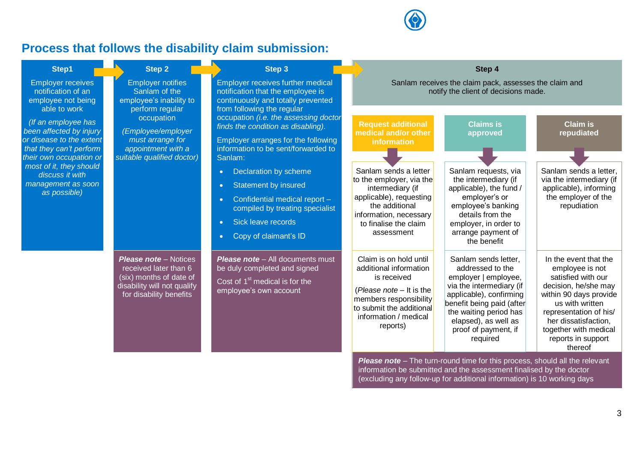

# **Process that follows the disability claim submission:**

| Step1                                                                                                                                                                                                                                                                                                        | Step 2                                                                                                                                                                                              | Step 3                                                                                                                                                                                                                                                                                                                                                                                                                                                                         |                                                                                                                                                                                                                               | Step 4                                                                                                                                                                                                                                                                                                                                                                                         |                                                                                                                                                                                                                                                 |
|--------------------------------------------------------------------------------------------------------------------------------------------------------------------------------------------------------------------------------------------------------------------------------------------------------------|-----------------------------------------------------------------------------------------------------------------------------------------------------------------------------------------------------|--------------------------------------------------------------------------------------------------------------------------------------------------------------------------------------------------------------------------------------------------------------------------------------------------------------------------------------------------------------------------------------------------------------------------------------------------------------------------------|-------------------------------------------------------------------------------------------------------------------------------------------------------------------------------------------------------------------------------|------------------------------------------------------------------------------------------------------------------------------------------------------------------------------------------------------------------------------------------------------------------------------------------------------------------------------------------------------------------------------------------------|-------------------------------------------------------------------------------------------------------------------------------------------------------------------------------------------------------------------------------------------------|
| <b>Employer receives</b><br>notification of an<br>employee not being<br>able to work<br>(If an employee has<br>been affected by injury<br>or disease to the extent<br>that they can't perform<br>their own occupation or<br>most of it, they should<br>discuss it with<br>management as soon<br>as possible) | <b>Employer notifies</b><br>Sanlam of the<br>employee's inability to<br>perform regular<br>occupation<br>(Employee/employer<br>must arrange for<br>appointment with a<br>suitable qualified doctor) | Employer receives further medical<br>notification that the employee is<br>continuously and totally prevented<br>from following the regular<br>occupation (i.e. the assessing doctor<br>finds the condition as disabling).<br>Employer arranges for the following<br>information to be sent/forwarded to<br>Sanlam:<br>Declaration by scheme<br>$\bullet$<br>Statement by insured<br>$\bullet$<br>Confidential medical report -<br>$\bullet$<br>compiled by treating specialist | <b>Request additional</b><br>medical and/or other<br>information<br>Sanlam sends a letter<br>to the employer, via the<br>intermediary (if<br>applicable), requesting<br>the additional<br>information, necessary              | Sanlam receives the claim pack, assesses the claim and<br>notify the client of decisions made.<br><b>Claims is</b><br>approved<br>Sanlam requests, via<br>the intermediary (if<br>applicable), the fund /<br>employer's or<br>employee's banking<br>details from the                                                                                                                           | <b>Claim is</b><br>repudiated<br>Sanlam sends a letter,<br>via the intermediary (if<br>applicable), informing<br>the employer of the<br>repudiation                                                                                             |
|                                                                                                                                                                                                                                                                                                              | <b>Please note</b> – Notices<br>received later than 6<br>(six) months of date of<br>disability will not qualify<br>for disability benefits                                                          | Sick leave records<br>$\bullet$<br>Copy of claimant's ID<br>$\bullet$<br><b>Please note</b> - All documents must<br>be duly completed and signed<br>Cost of 1 <sup>st</sup> medical is for the<br>employee's own account                                                                                                                                                                                                                                                       | to finalise the claim<br>assessment<br>Claim is on hold until<br>additional information<br>is received<br>(Please note - It is the<br>members responsibility<br>to submit the additional<br>information / medical<br>reports) | employer, in order to<br>arrange payment of<br>the benefit<br>Sanlam sends letter,<br>addressed to the<br>employer   employee,<br>via the intermediary (if<br>applicable), confirming<br>benefit being paid (after<br>the waiting period has<br>elapsed), as well as<br>proof of payment, if<br>required<br><b>Please note</b> – The turn-round time for this process, should all the relevant | In the event that the<br>employee is not<br>satisfied with our<br>decision, he/she may<br>within 90 days provide<br>us with written<br>representation of his/<br>her dissatisfaction,<br>together with medical<br>reports in support<br>thereof |

information be submitted and the assessment finalised by the doctor (excluding any follow-up for additional information) is 10 working days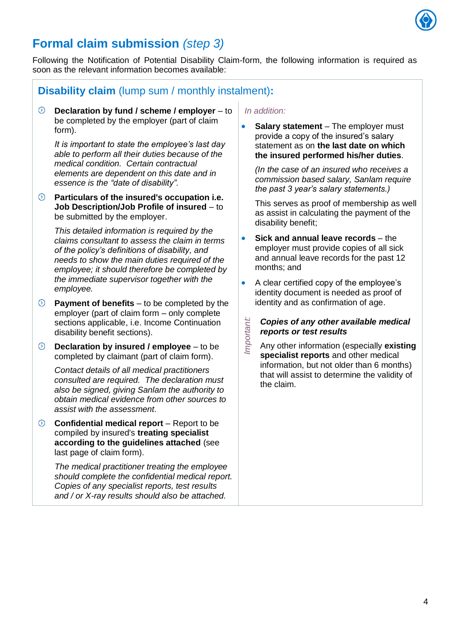

# **Formal claim submission** *(step 3)*

Following the Notification of Potential Disability Claim-form, the following information is required as soon as the relevant information becomes available:

# **Disability claim** (lump sum / monthly instalment)**:**

**Declaration by fund / scheme / employer** – to be completed by the employer (part of claim form).

*It is important to state the employee's last day able to perform all their duties because of the medical condition. Certain contractual elements are dependent on this date and in essence is the "date of disability".* 

**Particulars of the insured's occupation i.e. Job Description/Job Profile of insured** – to be submitted by the employer.

*This detailed information is required by the claims consultant to assess the claim in terms of the policy's definitions of disability, and needs to show the main duties required of the employee; it should therefore be completed by the immediate supervisor together with the employee.*

- **Payment of benefits** to be completed by the employer (part of claim form – only complete sections applicable, i.e. Income Continuation disability benefit sections).
- $\odot$ **Declaration by insured / employee** – to be completed by claimant (part of claim form).

*Contact details of all medical practitioners consulted are required. The declaration must also be signed, giving Sanlam the authority to obtain medical evidence from other sources to assist with the assessment.*

**Confidential medical report** – Report to be compiled by insured's **treating specialist according to the guidelines attached** (see last page of claim form).

*The medical practitioner treating the employee should complete the confidential medical report. Copies of any specialist reports, test results and / or X-ray results should also be attached.* 

### *In addition:*

*Important:*

**Salary statement** – The employer must provide a copy of the insured's salary statement as on **the last date on which the insured performed his/her duties**.

*(In the case of an insured who receives a commission based salary, Sanlam require the past 3 year's salary statements.)*

This serves as proof of membership as well as assist in calculating the payment of the disability benefit;

- **Sick and annual leave records**  the employer must provide copies of all sick and annual leave records for the past 12 months; and
- A clear certified copy of the employee's identity document is needed as proof of identity and as confirmation of age.
	- *Copies of any other available medical reports or test results*
	- Any other information (especially **existing specialist reports** and other medical information, but not older than 6 months) that will assist to determine the validity of the claim.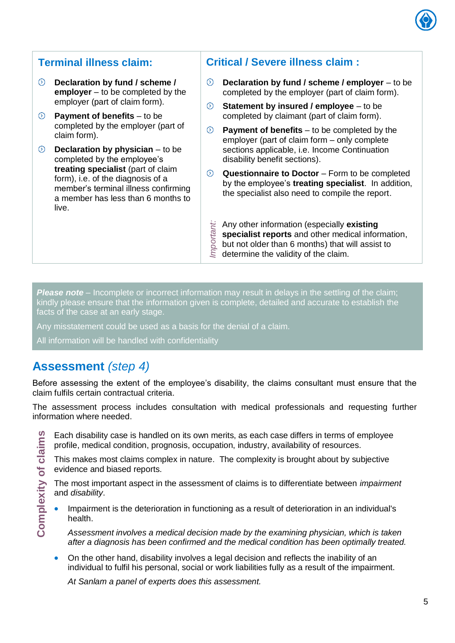

- $\circ$ **Declaration by fund / scheme / employer** – to be completed by the employer (part of claim form).
- **Payment of benefits** to be completed by the employer (part of claim form).
- **Declaration by physician** to be completed by the employee's **treating specialist** (part of claim form), i.e. of the diagnosis of a member's terminal illness confirming a member has less than 6 months to live.

# **Terminal illness claim: Critical / Severe illness claim :**

- $\circ$ **Declaration by fund / scheme / employer** – to be completed by the employer (part of claim form).
- $\circ$ **Statement by insured / employee** – to be completed by claimant (part of claim form).
- $\circledcirc$ **Payment of benefits** – to be completed by the employer (part of claim form – only complete sections applicable, i.e. Income Continuation disability benefit sections).
- $\odot$ **Questionnaire to Doctor** – Form to be completed by the employee's **treating specialist**. In addition, the specialist also need to compile the report.
- <sup>11</sup>/<sub>29</sub> Any other information (especially **e** specialist reports and other mediately but not older than 6 months) that v<br>  $\overline{\mathcal{L}}$  determine the validity of the claim. Any other information (especially **existing specialist reports** and other medical information, but not older than 6 months) that will assist to

**Please note** – Incomplete or incorrect information may result in delays in the settling of the claim; kindly please ensure that the information given is complete, detailed and accurate to establish the facts of the case at an early stage.

Any misstatement could be used as a basis for the denial of a claim.

All information will be handled with confidentiality

# **Assessment** *(step 4)*

Before assessing the extent of the employee's disability, the claims consultant must ensure that the claim fulfils certain contractual criteria.

The assessment process includes consultation with medical professionals and requesting further information where needed.

Complexity of claims **Complexity of claims** Each disability case is handled on its own merits, as each case differs in terms of employee profile, medical condition, prognosis, occupation, industry, availability of resources.

This makes most claims complex in nature. The complexity is brought about by subjective evidence and biased reports.

The most important aspect in the assessment of claims is to differentiate between *impairment* and *disability*.

 Impairment is the deterioration in functioning as a result of deterioration in an individual's health.

*Assessment involves a medical decision made by the examining physician, which is taken after a diagnosis has been confirmed and the medical condition has been optimally treated.*

 On the other hand, disability involves a legal decision and reflects the inability of an individual to fulfil his personal, social or work liabilities fully as a result of the impairment.

*At Sanlam a panel of experts does this assessment.*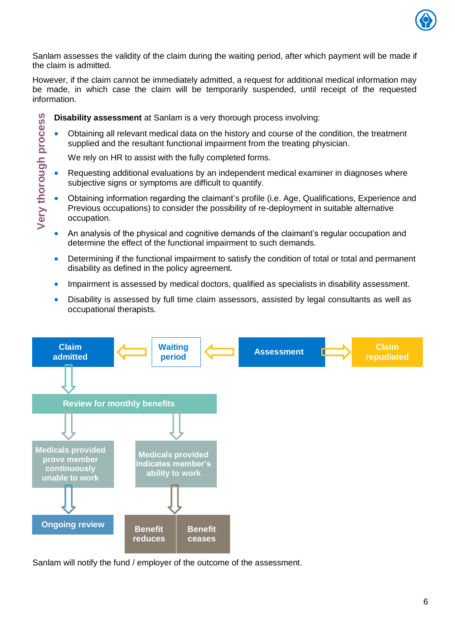

Sanlam assesses the validity of the claim during the waiting period, after which payment will be made if the claim is admitted.

However, if the claim cannot be immediately admitted, a request for additional medical information may be made, in which case the claim will be temporarily suspended, until receipt of the requested information.

- Very thorough process **Disability assessment** at Sanlam is a very thorough process involving:
	- Obtaining all relevant medical data on the history and course of the condition, the treatment supplied and the resultant functional impairment from the treating physician.

We rely on HR to assist with the fully completed forms.

- Requesting additional evaluations by an independent medical examiner in diagnoses where subjective signs or symptoms are difficult to quantify.
- **Very thorough process** Obtaining information regarding the claimant's profile (i.e. Age, Qualifications, Experience and Previous occupations) to consider the possibility of re-deployment in suitable alternative occupation.
	- An analysis of the physical and cognitive demands of the claimant's regular occupation and determine the effect of the functional impairment to such demands.
	- Determining if the functional impairment to satisfy the condition of total or total and permanent disability as defined in the policy agreement.
	- **Impairment is assessed by medical doctors, qualified as specialists in disability assessment.**
	- Disability is assessed by full time claim assessors, assisted by legal consultants as well as occupational therapists.



Sanlam will notify the fund / employer of the outcome of the assessment.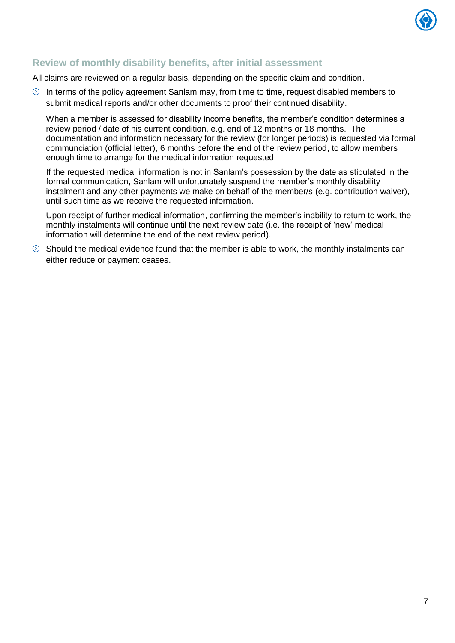

# **Review of monthly disability benefits, after initial assessment**

All claims are reviewed on a regular basis, depending on the specific claim and condition.

 $\odot$  In terms of the policy agreement Sanlam may, from time to time, request disabled members to submit medical reports and/or other documents to proof their continued disability.

When a member is assessed for disability income benefits, the member's condition determines a review period / date of his current condition, e.g. end of 12 months or 18 months. The documentation and information necessary for the review (for longer periods) is requested via formal communciation (official letter), 6 months before the end of the review period, to allow members enough time to arrange for the medical information requested.

If the requested medical information is not in Sanlam's possession by the date as stipulated in the formal communication, Sanlam will unfortunately suspend the member's monthly disability instalment and any other payments we make on behalf of the member/s (e.g. contribution waiver), until such time as we receive the requested information.

Upon receipt of further medical information, confirming the member's inability to return to work, the monthly instalments will continue until the next review date (i.e. the receipt of 'new' medical information will determine the end of the next review period).

 $\odot$  Should the medical evidence found that the member is able to work, the monthly instalments can either reduce or payment ceases.